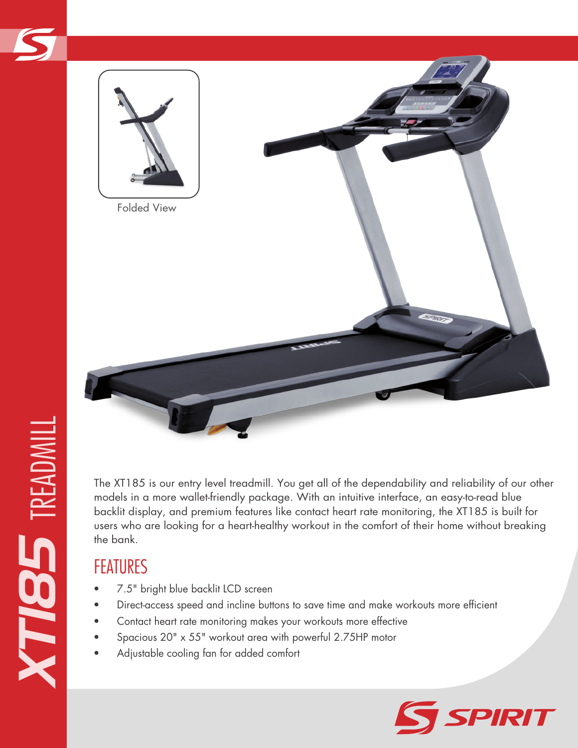

The XT185 is our entry level treadmill. You get all of the dependability and reliability of our other models in a more wallet-friendly package. With an intuitive interface, an easy-to-read blue backlit display, and premium features like contact heart rate monitoring, the XT185 is built for users who are looking for a heart-healthy workout in the comfort of their home without breaking the bank.

- 7.5" bright blue backlit LCD screen
- Direct-access speed and incline buttons to save time and make workouts more efficient
- Contact heart rate monitoring makes your workouts more effective
- Spacious 20" x 55" workout area with powerful 2.75HP motor
- Adjustable cooling fan for added comfort